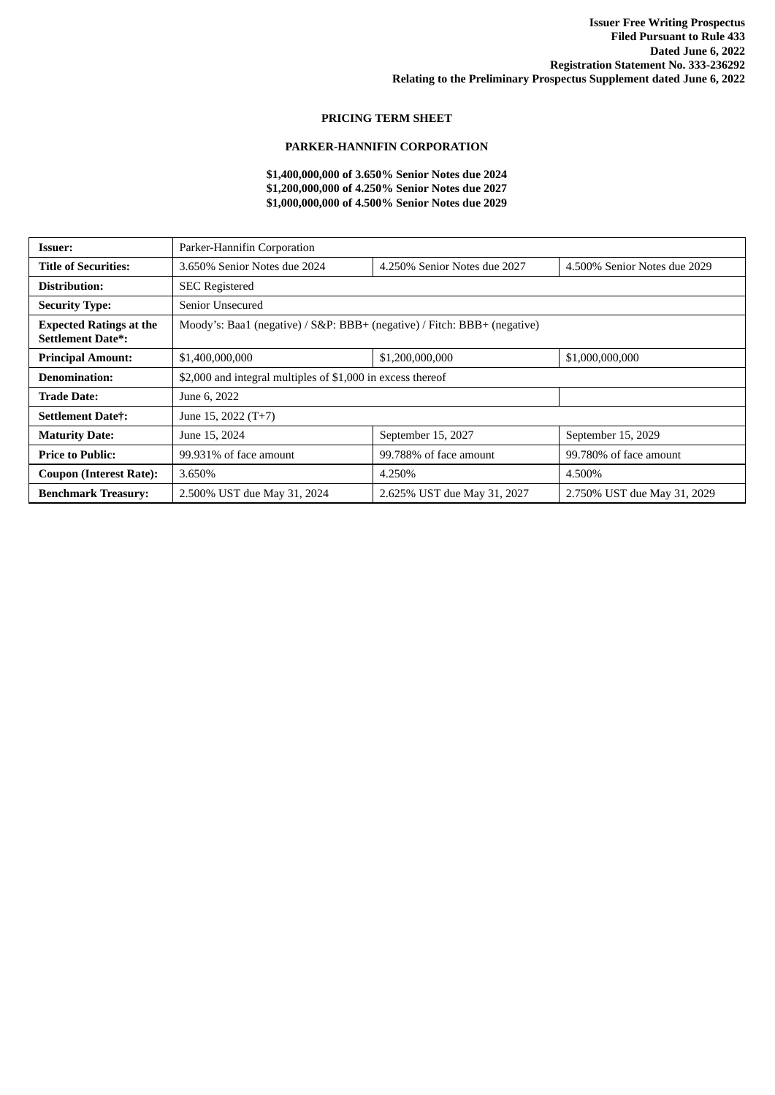## **PRICING TERM SHEET**

## **PARKER-HANNIFIN CORPORATION**

## **\$1,400,000,000 of 3.650% Senior Notes due 2024 \$1,200,000,000 of 4.250% Senior Notes due 2027 \$1,000,000,000 of 4.500% Senior Notes due 2029**

| <b>Issuer:</b>                                             | Parker-Hannifin Corporation                                              |                              |                              |  |
|------------------------------------------------------------|--------------------------------------------------------------------------|------------------------------|------------------------------|--|
| <b>Title of Securities:</b>                                | 3.650% Senior Notes due 2024                                             | 4.250% Senior Notes due 2027 | 4.500% Senior Notes due 2029 |  |
| Distribution:                                              | <b>SEC</b> Registered                                                    |                              |                              |  |
| <b>Security Type:</b>                                      | Senior Unsecured                                                         |                              |                              |  |
| <b>Expected Ratings at the</b><br><b>Settlement Date*:</b> | Moody's: Baa1 (negative) / S&P: BBB+ (negative) / Fitch: BBB+ (negative) |                              |                              |  |
| <b>Principal Amount:</b>                                   | \$1,400,000,000                                                          | \$1,200,000,000              | \$1,000,000,000              |  |
| <b>Denomination:</b>                                       | \$2,000 and integral multiples of \$1,000 in excess thereof              |                              |                              |  |
| <b>Trade Date:</b>                                         | June 6, 2022                                                             |                              |                              |  |
| <b>Settlement Datet:</b>                                   | June 15, 2022 (T+7)                                                      |                              |                              |  |
| <b>Maturity Date:</b>                                      | June 15, 2024                                                            | September 15, 2027           | September 15, 2029           |  |
| <b>Price to Public:</b>                                    | 99.931% of face amount                                                   | 99.788% of face amount       | 99.780% of face amount       |  |
| <b>Coupon (Interest Rate):</b>                             | 3.650%                                                                   | 4.250%                       | 4.500%                       |  |
| <b>Benchmark Treasury:</b>                                 | 2.500% UST due May 31, 2024                                              | 2.625% UST due May 31, 2027  | 2.750% UST due May 31, 2029  |  |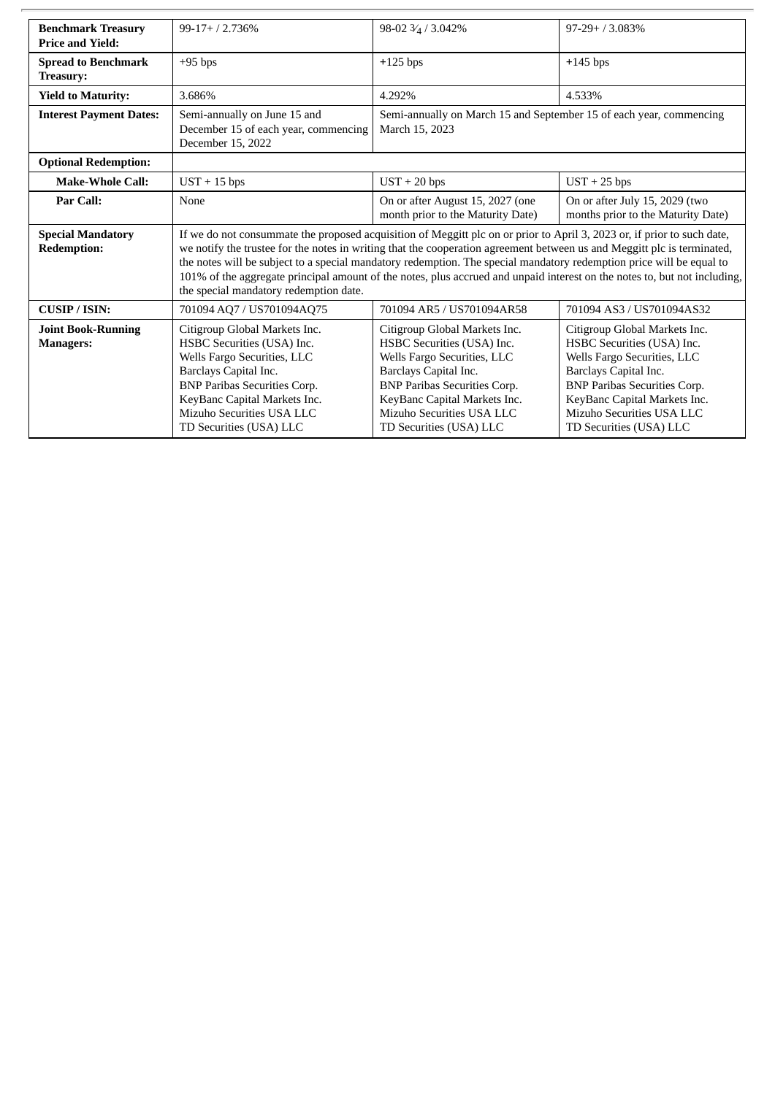| <b>Benchmark Treasury</b><br><b>Price and Yield:</b> | $99-17+ / 2.736%$                                                                                                                                                                                                                                                                                                                                                                                                                                                                                                                                 | 98-02 3/4 / 3.042%                                                                                                                                                                                                                                 | $97-29+73.083%$                                                                                                                                                                                                                                    |  |
|------------------------------------------------------|---------------------------------------------------------------------------------------------------------------------------------------------------------------------------------------------------------------------------------------------------------------------------------------------------------------------------------------------------------------------------------------------------------------------------------------------------------------------------------------------------------------------------------------------------|----------------------------------------------------------------------------------------------------------------------------------------------------------------------------------------------------------------------------------------------------|----------------------------------------------------------------------------------------------------------------------------------------------------------------------------------------------------------------------------------------------------|--|
| <b>Spread to Benchmark</b><br><b>Treasury:</b>       | $+95$ bps                                                                                                                                                                                                                                                                                                                                                                                                                                                                                                                                         | $+125$ bps                                                                                                                                                                                                                                         | $+145$ bps                                                                                                                                                                                                                                         |  |
| <b>Yield to Maturity:</b>                            | 3.686%                                                                                                                                                                                                                                                                                                                                                                                                                                                                                                                                            | 4.292%                                                                                                                                                                                                                                             | 4.533%                                                                                                                                                                                                                                             |  |
| <b>Interest Payment Dates:</b>                       | Semi-annually on June 15 and<br>December 15 of each year, commencing<br>December 15, 2022                                                                                                                                                                                                                                                                                                                                                                                                                                                         | Semi-annually on March 15 and September 15 of each year, commencing<br>March 15, 2023                                                                                                                                                              |                                                                                                                                                                                                                                                    |  |
| <b>Optional Redemption:</b>                          |                                                                                                                                                                                                                                                                                                                                                                                                                                                                                                                                                   |                                                                                                                                                                                                                                                    |                                                                                                                                                                                                                                                    |  |
| <b>Make-Whole Call:</b>                              | $UST + 15 bps$                                                                                                                                                                                                                                                                                                                                                                                                                                                                                                                                    | $UST + 20 bps$                                                                                                                                                                                                                                     | $UST + 25 bps$                                                                                                                                                                                                                                     |  |
| Par Call:                                            | None                                                                                                                                                                                                                                                                                                                                                                                                                                                                                                                                              | On or after August 15, 2027 (one<br>month prior to the Maturity Date)                                                                                                                                                                              | On or after July 15, 2029 (two<br>months prior to the Maturity Date)                                                                                                                                                                               |  |
| <b>Special Mandatory</b><br><b>Redemption:</b>       | If we do not consummate the proposed acquisition of Meggitt plc on or prior to April 3, 2023 or, if prior to such date,<br>we notify the trustee for the notes in writing that the cooperation agreement between us and Meggitt plc is terminated,<br>the notes will be subject to a special mandatory redemption. The special mandatory redemption price will be equal to<br>101% of the aggregate principal amount of the notes, plus accrued and unpaid interest on the notes to, but not including,<br>the special mandatory redemption date. |                                                                                                                                                                                                                                                    |                                                                                                                                                                                                                                                    |  |
| <b>CUSIP/ISIN:</b>                                   | 701094 AQ7 / US701094AQ75                                                                                                                                                                                                                                                                                                                                                                                                                                                                                                                         | 701094 AR5 / US701094AR58                                                                                                                                                                                                                          | 701094 AS3 / US701094AS32                                                                                                                                                                                                                          |  |
| <b>Joint Book-Running</b><br><b>Managers:</b>        | Citigroup Global Markets Inc.<br>HSBC Securities (USA) Inc.<br>Wells Fargo Securities, LLC<br>Barclays Capital Inc.<br><b>BNP Paribas Securities Corp.</b><br>KeyBanc Capital Markets Inc.<br>Mizuho Securities USA LLC<br>TD Securities (USA) LLC                                                                                                                                                                                                                                                                                                | Citigroup Global Markets Inc.<br>HSBC Securities (USA) Inc.<br>Wells Fargo Securities, LLC<br>Barclays Capital Inc.<br><b>BNP Paribas Securities Corp.</b><br>KeyBanc Capital Markets Inc.<br>Mizuho Securities USA LLC<br>TD Securities (USA) LLC | Citigroup Global Markets Inc.<br>HSBC Securities (USA) Inc.<br>Wells Fargo Securities, LLC<br>Barclays Capital Inc.<br><b>BNP Paribas Securities Corp.</b><br>KeyBanc Capital Markets Inc.<br>Mizuho Securities USA LLC<br>TD Securities (USA) LLC |  |